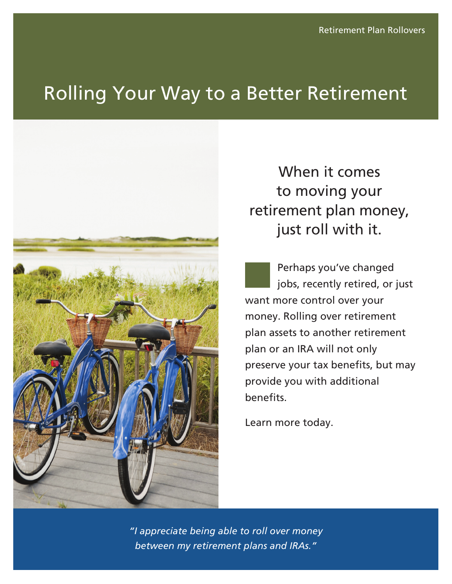# Rolling Your Way to a Better Retirement



When it comes to moving your retirement plan money, just roll with it.

Perhaps you've changed jobs, recently retired, or just want more control over your money. Rolling over retirement plan assets to another retirement plan or an IRA will not only preserve your tax benefits, but may provide you with additional benefits.

Learn more today.

*"I appreciate being able to roll over money between my retirement plans and IRAs."*